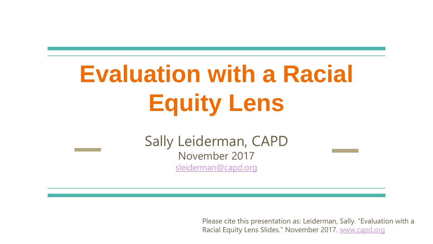# **Evaluation with a Racial Equity Lens**

Sally Leiderman, CAPD November 2017 [sleiderman@capd.org](mailto:sleiderman@capd.org)

> Please cite this presentation as: Leiderman, Sally. "Evaluation with a Racial Equity Lens Slides." November 2017. [www.capd.org](http://www.capd.org)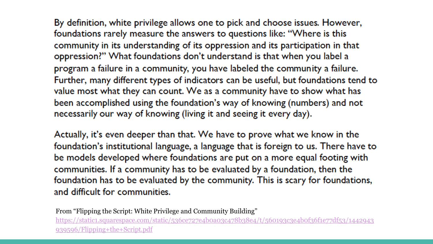By definition, white privilege allows one to pick and choose issues. However, foundations rarely measure the answers to questions like: "Where is this community in its understanding of its oppression and its participation in that oppression?" What foundations don't understand is that when you label a program a failure in a community, you have labeled the community a failure. Further, many different types of indicators can be useful, but foundations tend to value most what they can count. We as a community have to show what has been accomplished using the foundation's way of knowing (numbers) and not necessarily our way of knowing (living it and seeing it every day).

Actually, it's even deeper than that. We have to prove what we know in the foundation's institutional language, a language that is foreign to us. There have to be models developed where foundations are put on a more equal footing with communities. If a community has to be evaluated by a foundation, then the foundation has to be evaluated by the community. This is scary for foundations, and difficult for communities.

From "Flipping the Script: White Privilege and Community Building" [https://static1.squarespace.com/static/536ce727e4b0a03c478b38e4/t/560193c3e4b0f36f1e77df53/1442943](https://static1.squarespace.com/static/536ce727e4b0a03c478b38e4/t/560193c3e4b0f36f1e77df53/1442943939596/Flipping+the+Script.pdf) 939596/Flipping+the+Script.pdf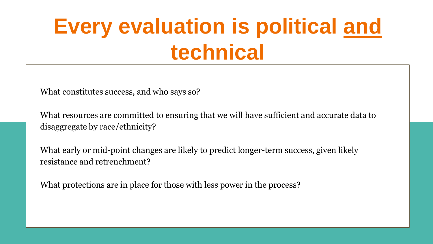## **Every evaluation is political and technical**

What constitutes success, and who says so?

What resources are committed to ensuring that we will have sufficient and accurate data to disaggregate by race/ethnicity?

What early or mid-point changes are likely to predict longer-term success, given likely resistance and retrenchment?

What protections are in place for those with less power in the process?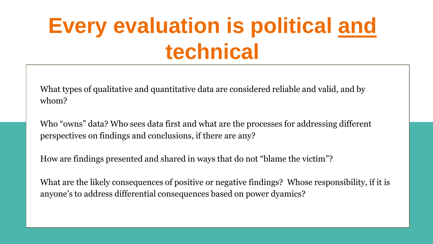## **Every evaluation is political and technical**

What types of qualitative and quantitative data are considered reliable and valid, and by whom?

Who "owns" data? Who sees data first and what are the processes for addressing different perspectives on findings and conclusions, if there are any?

How are findings presented and shared in ways that do not "blame the victim"?

What are the likely consequences of positive or negative findings? Whose responsibility, if it is anyone's to address differential consequences based on power dyamics?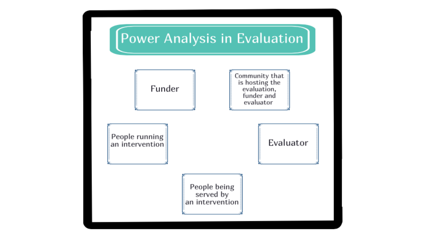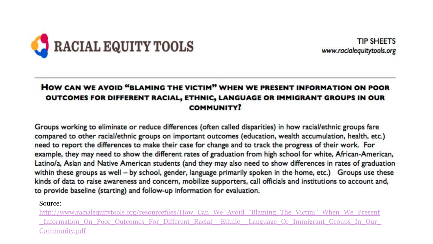

**TIP SHEETS** www.racialequitytools.org

#### HOW CAN WE AVOID "BLAMING THE VICTIM" WHEN WE PRESENT INFORMATION ON POOR OUTCOMES FOR DIFFERENT RACIAL, ETHNIC, LANGUAGE OR IMMIGRANT GROUPS IN OUR **COMMUNITY?**

Groups working to eliminate or reduce differences (often called disparities) in how racial/ethnic groups fare compared to other racial/ethnic groups on important outcomes (education, wealth accumulation, health, etc.) need to report the differences to make their case for change and to track the progress of their work. For example, they may need to show the different rates of graduation from high school for white, African-American, Latino/a, Asian and Native American students (and they may also need to show differences in rates of graduation within these groups as well  $-$  by school, gender, language primarily spoken in the home, etc.) Groups use these kinds of data to raise awareness and concern, mobilize supporters, call officials and institutions to account and, to provide baseline (starting) and follow-up information for evaluation.

Source:

http://www.racialequitytools.org/resourcefiles/How\_Can\_We\_Avoid\_"Blaming\_The\_Victim"\_When\_We\_Present [\\_Information\\_On\\_Poor\\_Outcomes\\_For\\_Different\\_Racial\\_\\_Ethnic\\_\\_Language\\_Or\\_Immigrant\\_Groups\\_In\\_Our\\_](http://www.racialequitytools.org/resourcefiles/How_Can_We_Avoid_%E2%80%9CBlaming_The_Victim%E2%80%9D_When_We_Present_Information_On_Poor_Outcomes_For_Different_Racial__Ethnic__Language_Or_Immigrant_Groups_In_Our_Community.pdf) Community.pdf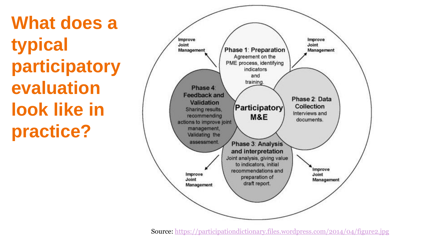**What does a typical participatory evaluation look like in practice?**



Source: <https://participationdictionary.files.wordpress.com/2014/04/figure2.jpg>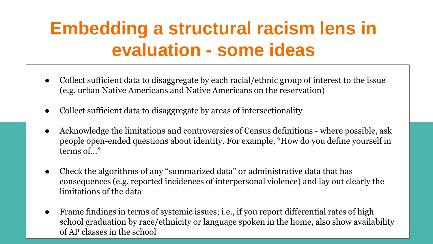### **Embedding a structural racism lens in evaluation - some ideas**

- Collect sufficient data to disaggregate by each racial/ethnic group of interest to the issue (e.g. urban Native Americans and Native Americans on the reservation)
- Collect sufficient data to disaggregate by areas of intersectionality
- Acknowledge the limitations and controversies of Census definitions where possible, ask people open-ended questions about identity. For example, "How do you define yourself in terms of…"
- Check the algorithms of any "summarized data" or administrative data that has consequences (e.g. reported incidences of interpersonal violence) and lay out clearly the limitations of the data
- Frame findings in terms of systemic issues; i.e., if you report differential rates of high school graduation by race/ethnicity or language spoken in the home, also show availability of AP classes in the school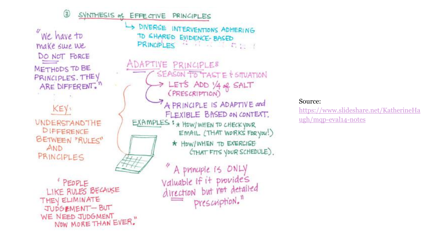3 SYNTHESIS of EFFECTIVE PRINCIPLES

"We have to make sure we DO NOT FORCE METHODS TO BE PRINCIPLES. THEY ARE DIFFERENT."

KEY: **UNDERSTANDTHE** DIFFERENCE

BETWEEN "RULES" AND PRINCIPLES

ADAPTIVE PRINCIPLES SEASON TO TASTE & SITUATION > LET'S ADD YA OR SALT (PRESCRIPTION) A PRINCIPLE IS ADAPTIVE and FLEXIBLE BASED ON CONTEXT. EXAMPLES : \* HOW/ WHEN TO CHECK YOUR EMAIL (THAT WORKS FOR YOU!) \* HOW/WHEN TO EXERCISE CTHAT FITS YOUR SCHEDULE).

DIVERSE INTERVENTIONS ADHERING

PRINCIPLES " I I I I I I I

TO SHARED EVIDENCE-BASED

**PEOPLE** LIKE RULES BECAUSE THEY ELIMINATE JUDGEMENT-BUT WE NEED JUDGMENT NOW MORE THAN EVER."

A principle is ONLY Valuable If it provides<br>direction but not detailed prescription."

#### Source:

https://www.slideshare.net/KatherineHa ugh/mqp-eval14-notes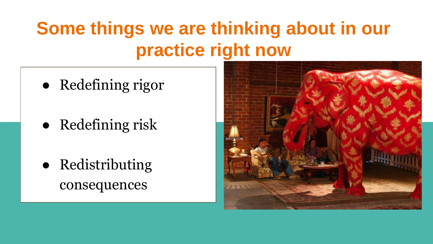### **Some things we are thinking about in our practice right now**

- Redefining rigor
- Redefining risk
- Redistributing consequences

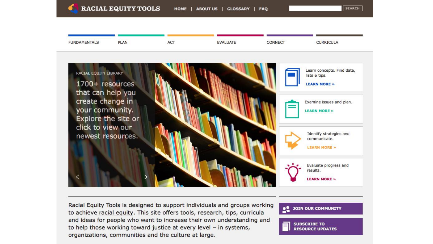**SEARCH** 



Racial Equity Tools is designed to support individuals and groups working to achieve racial equity. This site offers tools, research, tips, curricula and ideas for people who want to increase their own understanding and to help those working toward justice at every level - in systems, organizations, communities and the culture at large.

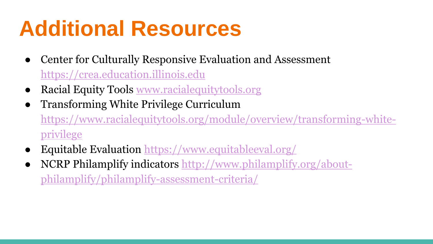## **Additional Resources**

- Center for Culturally Responsive Evaluation and Assessment <https://crea.education.illinois.edu>
- Racial Equity Tools [www.racialequitytools.org](http://www.racialequitytools.org)
- Transforming White Privilege Curriculum [https://www.racialequitytools.org/module/overview/transforming-white](https://www.racialequitytools.org/module/overview/transforming-white-privilege)privilege
- Equitable Evaluation <https://www.equitableeval.org/>
- [NCRP Philamplify indicators http://www.philamplify.org/about](http://www.philamplify.org/about-philamplify/philamplify-assessment-criteria/)philamplify/philamplify-assessment-criteria/